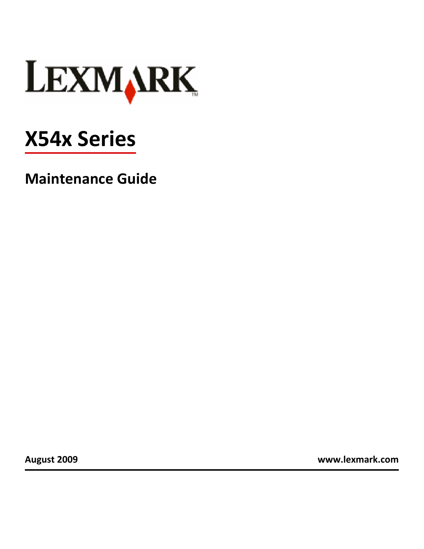

# **X54x Series**

**Maintenance Guide**

**August 2009 [www.lexmark.com](http://www.lexmark.com)**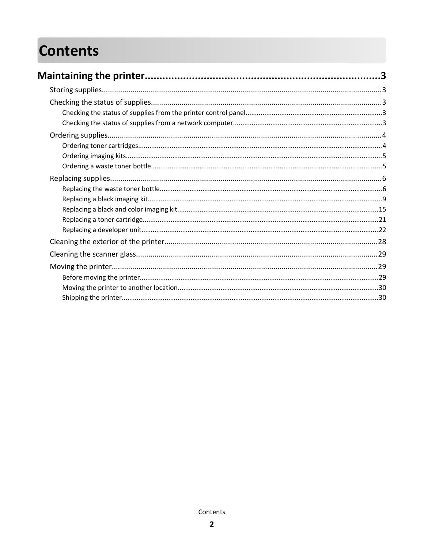# **Contents**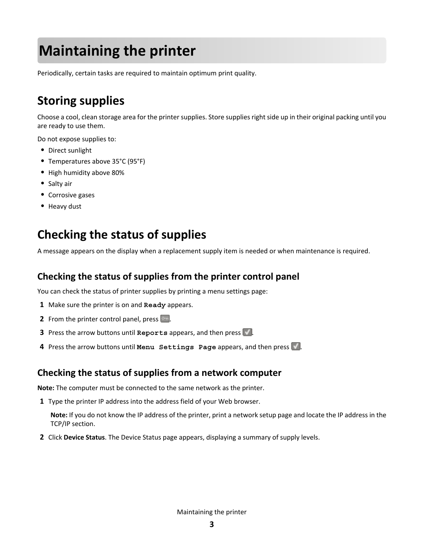# <span id="page-2-0"></span>**Maintaining the printer**

Periodically, certain tasks are required to maintain optimum print quality.

# **Storing supplies**

Choose a cool, clean storage area for the printer supplies. Store supplies right side up in their original packing until you are ready to use them.

Do not expose supplies to:

- **•** Direct sunlight
- **•** Temperatures above 35°C (95°F)
- **•** High humidity above 80%
- **•** Salty air
- **•** Corrosive gases
- **•** Heavy dust

# **Checking the status of supplies**

A message appears on the display when a replacement supply item is needed or when maintenance is required.

## **Checking the status of supplies from the printer control panel**

You can check the status of printer supplies by printing a menu settings page:

- **1** Make sure the printer is on and **Ready** appears.
- **2** From the printer control panel, press  $\boxed{\cdots}$ .
- **3** Press the arrow buttons until **Reports** appears, and then press ...
- **4** Press the arrow buttons until Menu Settings Page appears, and then press .

### **Checking the status of supplies from a network computer**

**Note:** The computer must be connected to the same network as the printer.

**1** Type the printer IP address into the address field of your Web browser.

**Note:** If you do not know the IP address of the printer, print a network setup page and locate the IP address in the TCP/IP section.

**2** Click **Device Status**. The Device Status page appears, displaying a summary of supply levels.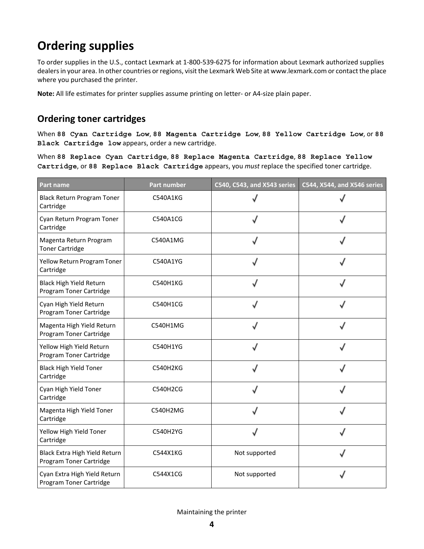# <span id="page-3-0"></span>**Ordering supplies**

To order supplies in the U.S., contact Lexmark at 1-800-539-6275 for information about Lexmark authorized supplies dealers in your area. In other countries or regions, visit the Lexmark Web Site at www.lexmark.com or contact the place where you purchased the printer.

**Note:** All life estimates for printer supplies assume printing on letter- or A4-size plain paper.

## **Ordering toner cartridges**

When **88 Cyan Cartridge Low**, **88 Magenta Cartridge Low**, **88 Yellow Cartridge Low**, or **88 Black Cartridge low** appears, order a new cartridge.

When **88 Replace Cyan Cartridge**, **88 Replace Magenta Cartridge**, **88 Replace Yellow Cartridge**, or **88 Replace Black Cartridge** appears, you *must* replace the specified toner cartridge.

| <b>Part name</b>                                         | <b>Part number</b> | C540, C543, and X543 series | C544, X544, and X546 series |
|----------------------------------------------------------|--------------------|-----------------------------|-----------------------------|
| <b>Black Return Program Toner</b><br>Cartridge           | C540A1KG           |                             |                             |
| Cyan Return Program Toner<br>Cartridge                   | C540A1CG           |                             |                             |
| Magenta Return Program<br><b>Toner Cartridge</b>         | C540A1MG           |                             |                             |
| Yellow Return Program Toner<br>Cartridge                 | C540A1YG           |                             |                             |
| Black High Yield Return<br>Program Toner Cartridge       | C540H1KG           |                             |                             |
| Cyan High Yield Return<br>Program Toner Cartridge        | C540H1CG           |                             |                             |
| Magenta High Yield Return<br>Program Toner Cartridge     | C540H1MG           |                             |                             |
| Yellow High Yield Return<br>Program Toner Cartridge      | C540H1YG           |                             |                             |
| <b>Black High Yield Toner</b><br>Cartridge               | C540H2KG           |                             |                             |
| Cyan High Yield Toner<br>Cartridge                       | C540H2CG           |                             |                             |
| Magenta High Yield Toner<br>Cartridge                    | C540H2MG           |                             |                             |
| Yellow High Yield Toner<br>Cartridge                     | C540H2YG           |                             |                             |
| Black Extra High Yield Return<br>Program Toner Cartridge | C544X1KG           | Not supported               |                             |
| Cyan Extra High Yield Return<br>Program Toner Cartridge  | C544X1CG           | Not supported               |                             |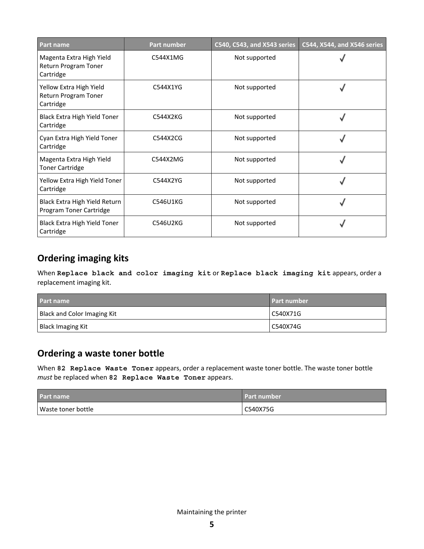<span id="page-4-0"></span>

| <b>Part name</b>                                              | Part number | C540, C543, and X543 series | C544, X544, and X546 series |
|---------------------------------------------------------------|-------------|-----------------------------|-----------------------------|
| Magenta Extra High Yield<br>Return Program Toner<br>Cartridge | C544X1MG    | Not supported               |                             |
| Yellow Extra High Yield<br>Return Program Toner<br>Cartridge  | C544X1YG    | Not supported               |                             |
| Black Extra High Yield Toner<br>Cartridge                     | C544X2KG    | Not supported               |                             |
| Cyan Extra High Yield Toner<br>Cartridge                      | C544X2CG    | Not supported               |                             |
| Magenta Extra High Yield<br><b>Toner Cartridge</b>            | C544X2MG    | Not supported               |                             |
| Yellow Extra High Yield Toner<br>Cartridge                    | C544X2YG    | Not supported               |                             |
| Black Extra High Yield Return<br>Program Toner Cartridge      | C546U1KG    | Not supported               |                             |
| Black Extra High Yield Toner<br>Cartridge                     | C546U2KG    | Not supported               |                             |

## **Ordering imaging kits**

When **Replace black and color imaging kit** or **Replace black imaging kit** appears, order a replacement imaging kit.

| <b>Part name</b>            | <b>Part number</b> |
|-----------------------------|--------------------|
| Black and Color Imaging Kit | C540X71G           |
| Black Imaging Kit           | C540X74G           |

## **Ordering a waste toner bottle**

When 82 Replace Waste Toner appears, order a replacement waste toner bottle. The waste toner bottle *must* be replaced when **82 Replace Waste Toner** appears.

| Part name          | <b>Part number</b> |
|--------------------|--------------------|
| Waste toner bottle | C540X75G           |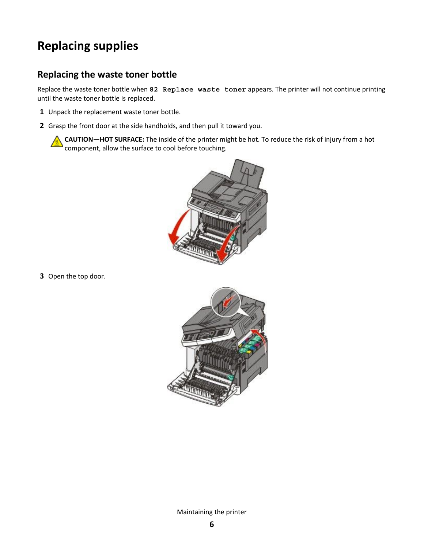# <span id="page-5-0"></span>**Replacing supplies**

## **Replacing the waste toner bottle**

Replace the waste toner bottle when **82 Replace waste toner** appears. The printer will not continue printing until the waste toner bottle is replaced.

- **1** Unpack the replacement waste toner bottle.
- **2** Grasp the front door at the side handholds, and then pull it toward you.

**CAUTION—HOT SURFACE:** The inside of the printer might be hot. To reduce the risk of injury from a hot component, allow the surface to cool before touching.



**3** Open the top door.

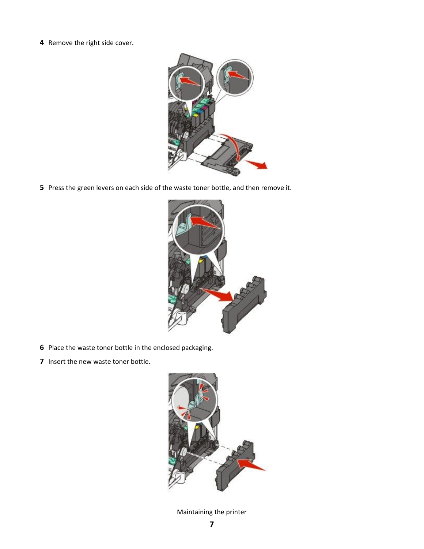Remove the right side cover.



Press the green levers on each side of the waste toner bottle, and then remove it.



- Place the waste toner bottle in the enclosed packaging.
- Insert the new waste toner bottle.

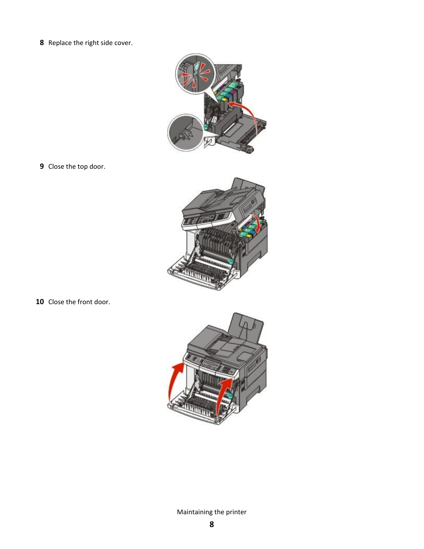Replace the right side cover.



Close the top door.



Close the front door.

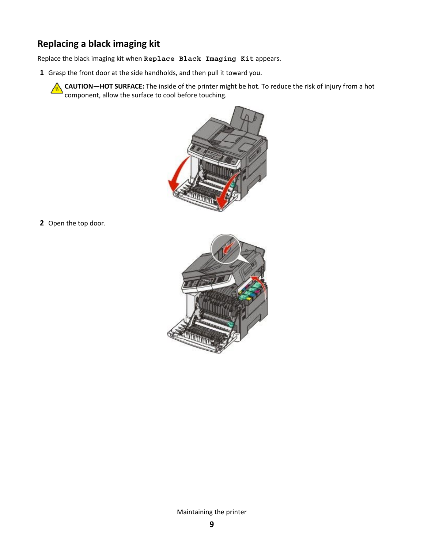# <span id="page-8-0"></span>**Replacing a black imaging kit**

Replace the black imaging kit when **Replace Black Imaging Kit** appears.

**1** Grasp the front door at the side handholds, and then pull it toward you.

**CAUTION—HOT SURFACE:** The inside of the printer might be hot. To reduce the risk of injury from a hot component, allow the surface to cool before touching.



**2** Open the top door.

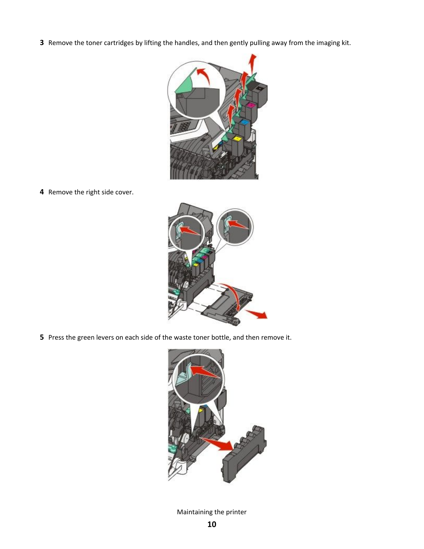Remove the toner cartridges by lifting the handles, and then gently pulling away from the imaging kit.



Remove the right side cover.



Press the green levers on each side of the waste toner bottle, and then remove it.

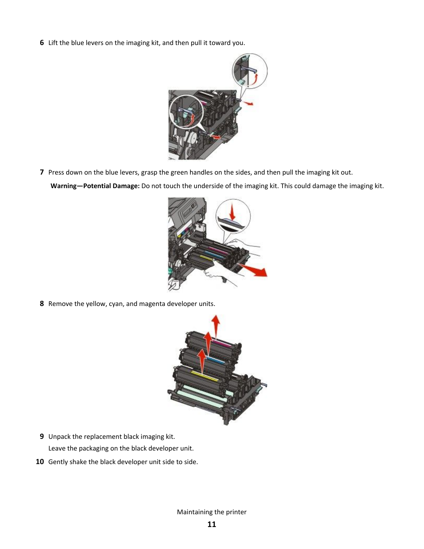Lift the blue levers on the imaging kit, and then pull it toward you.



Press down on the blue levers, grasp the green handles on the sides, and then pull the imaging kit out.

**Warning—Potential Damage:** Do not touch the underside of the imaging kit. This could damage the imaging kit.



Remove the yellow, cyan, and magenta developer units.



- Unpack the replacement black imaging kit. Leave the packaging on the black developer unit.
- Gently shake the black developer unit side to side.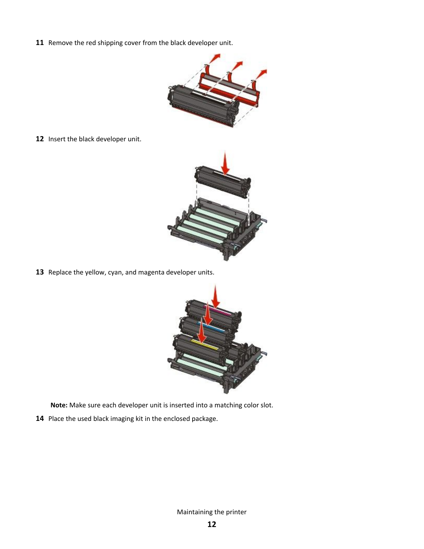Remove the red shipping cover from the black developer unit.



Insert the black developer unit.



Replace the yellow, cyan, and magenta developer units.



**Note:** Make sure each developer unit is inserted into a matching color slot.

Place the used black imaging kit in the enclosed package.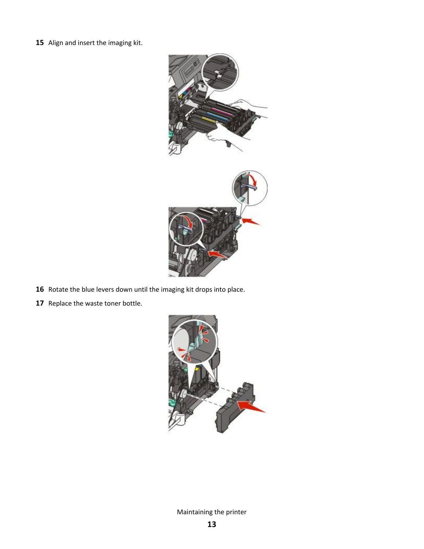Align and insert the imaging kit.



- Rotate the blue levers down until the imaging kit drops into place.
- Replace the waste toner bottle.

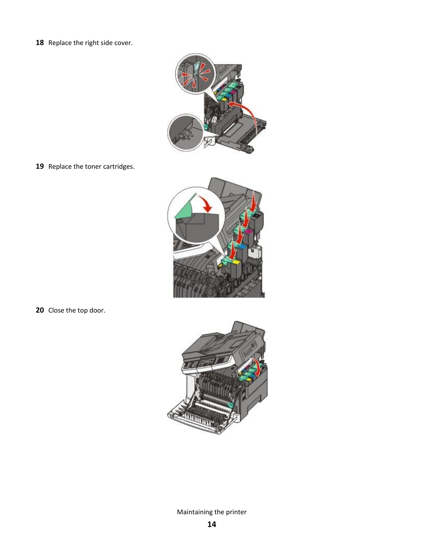18 Replace the right side cover.



19 Replace the toner cartridges.



**20** Close the top door.

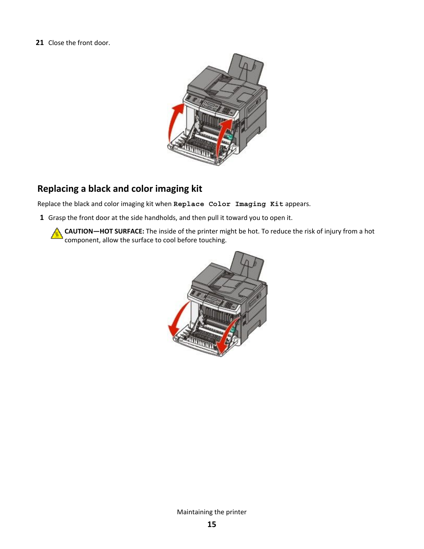#### <span id="page-14-0"></span>**21** Close the front door.



# **Replacing a black and color imaging kit**

Replace the black and color imaging kit when **Replace Color Imaging Kit** appears.

**1** Grasp the front door at the side handholds, and then pull it toward you to open it.

**CAUTION—HOT SURFACE:** The inside of the printer might be hot. To reduce the risk of injury from a hot h component, allow the surface to cool before touching.

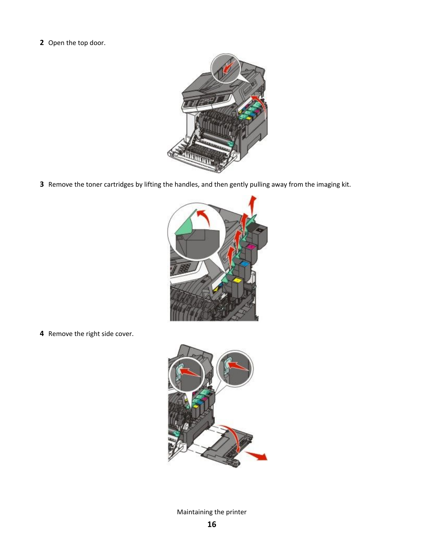Open the top door.



Remove the toner cartridges by lifting the handles, and then gently pulling away from the imaging kit.



Remove the right side cover.

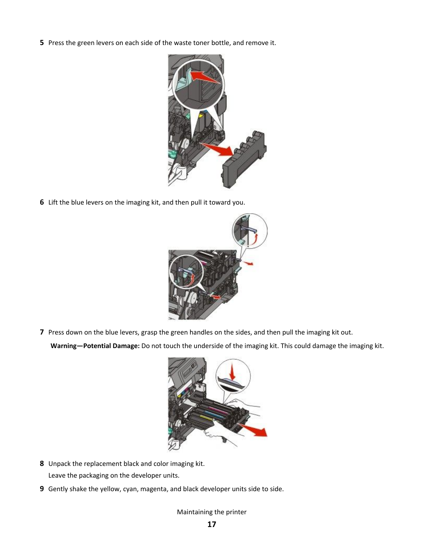Press the green levers on each side of the waste toner bottle, and remove it.



Lift the blue levers on the imaging kit, and then pull it toward you.



Press down on the blue levers, grasp the green handles on the sides, and then pull the imaging kit out.

**Warning—Potential Damage:** Do not touch the underside of the imaging kit. This could damage the imaging kit.



- Unpack the replacement black and color imaging kit. Leave the packaging on the developer units.
- Gently shake the yellow, cyan, magenta, and black developer units side to side.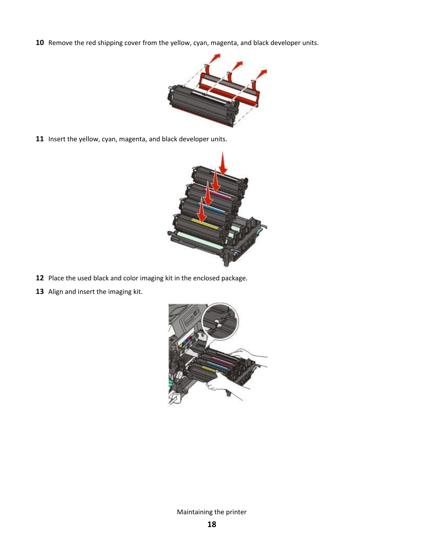Remove the red shipping cover from the yellow, cyan, magenta, and black developer units.



Insert the yellow, cyan, magenta, and black developer units.



- Place the used black and color imaging kit in the enclosed package.
- Align and insert the imaging kit.

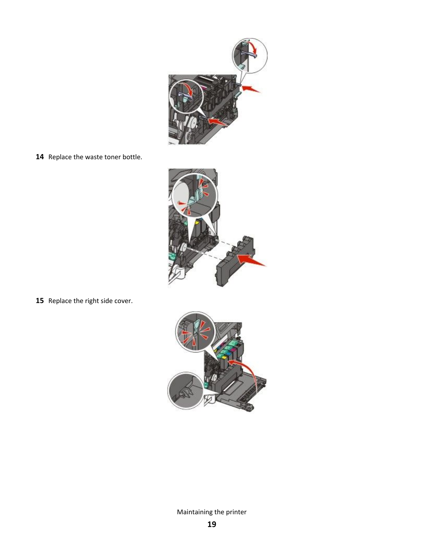

14 Replace the waste toner bottle.



**15** Replace the right side cover.

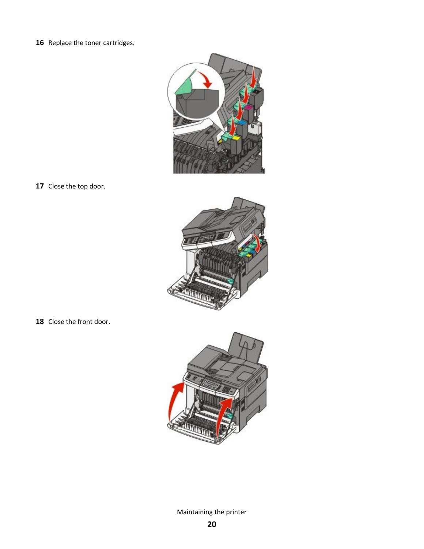16 Replace the toner cartridges.



**17** Close the top door.



**18** Close the front door.

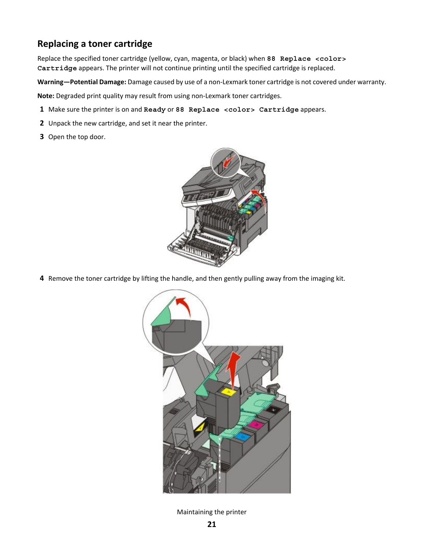## <span id="page-20-0"></span>**Replacing a toner cartridge**

Replace the specified toner cartridge (yellow, cyan, magenta, or black) when **88 Replace <color> Cartridge** appears. The printer will not continue printing until the specified cartridge is replaced.

**Warning—Potential Damage:** Damage caused by use of a non-Lexmark toner cartridge is not covered under warranty.

**Note:** Degraded print quality may result from using non-Lexmark toner cartridges.

- **1** Make sure the printer is on and **Ready** or **88 Replace <color> Cartridge** appears.
- **2** Unpack the new cartridge, and set it near the printer.
- **3** Open the top door.



**4** Remove the toner cartridge by lifting the handle, and then gently pulling away from the imaging kit.

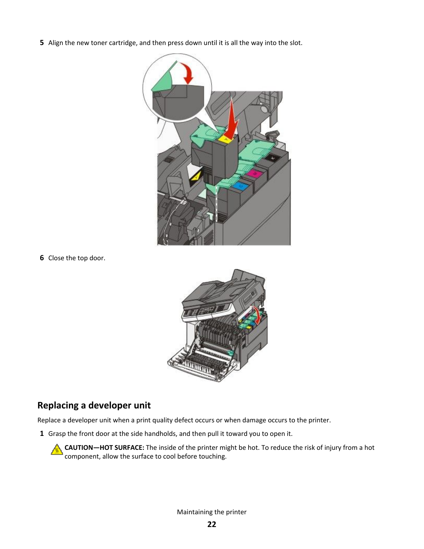<span id="page-21-0"></span>**5** Align the new toner cartridge, and then press down until it is all the way into the slot.



**6** Close the top door.



## **Replacing a developer unit**

Replace a developer unit when a print quality defect occurs or when damage occurs to the printer.

**1** Grasp the front door at the side handholds, and then pull it toward you to open it.

**CAUTION—HOT SURFACE:** The inside of the printer might be hot. To reduce the risk of injury from a hot component, allow the surface to cool before touching.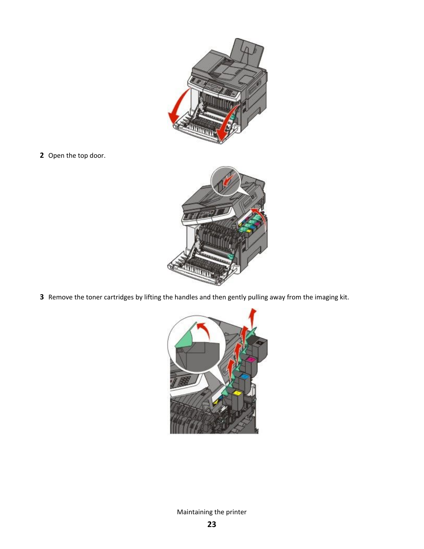

Open the top door.



Remove the toner cartridges by lifting the handles and then gently pulling away from the imaging kit.

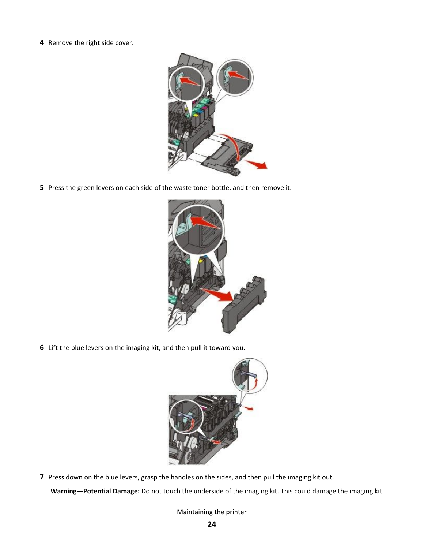Remove the right side cover.



Press the green levers on each side of the waste toner bottle, and then remove it.



Lift the blue levers on the imaging kit, and then pull it toward you.



Press down on the blue levers, grasp the handles on the sides, and then pull the imaging kit out.

**Warning—Potential Damage:** Do not touch the underside of the imaging kit. This could damage the imaging kit.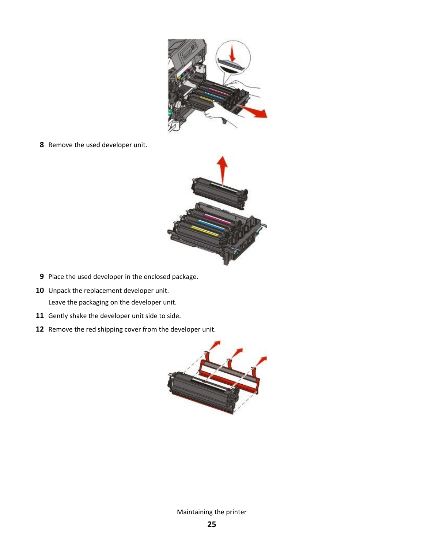

Remove the used developer unit.



- Place the used developer in the enclosed package.
- 10 Unpack the replacement developer unit. Leave the packaging on the developer unit.
- Gently shake the developer unit side to side.
- Remove the red shipping cover from the developer unit.

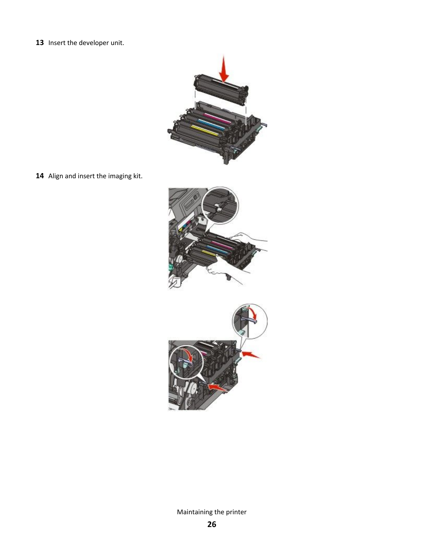Insert the developer unit.



Align and insert the imaging kit.

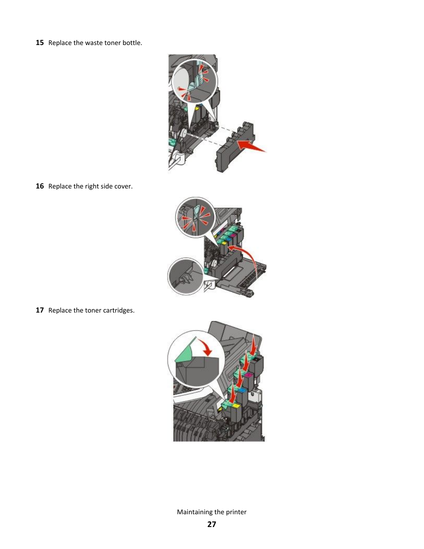**15** Replace the waste toner bottle.



16 Replace the right side cover.



**17** Replace the toner cartridges.

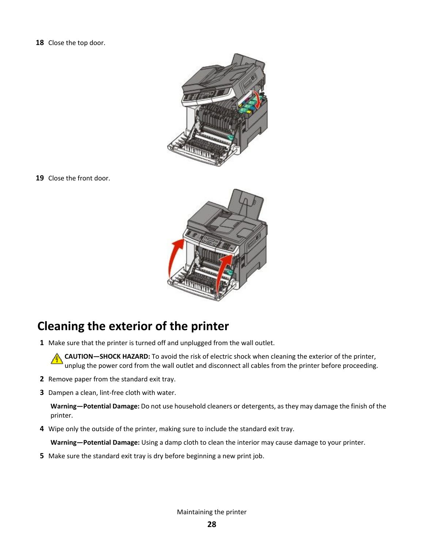<span id="page-27-0"></span>**18** Close the top door.



**19** Close the front door.



# **Cleaning the exterior of the printer**

**1** Make sure that the printer is turned off and unplugged from the wall outlet.

**CAUTION—SHOCK HAZARD:** To avoid the risk of electric shock when cleaning the exterior of the printer, unplug the power cord from the wall outlet and disconnect all cables from the printer before proceeding.

- **2** Remove paper from the standard exit tray.
- **3** Dampen a clean, lint-free cloth with water.

**Warning—Potential Damage:** Do not use household cleaners or detergents, as they may damage the finish of the printer.

**4** Wipe only the outside of the printer, making sure to include the standard exit tray.

**Warning—Potential Damage:** Using a damp cloth to clean the interior may cause damage to your printer.

**5** Make sure the standard exit tray is dry before beginning a new print job.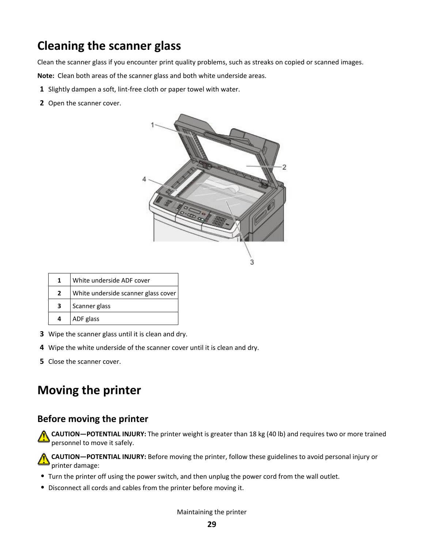# <span id="page-28-0"></span>**Cleaning the scanner glass**

Clean the scanner glass if you encounter print quality problems, such as streaks on copied or scanned images.

**Note:** Clean both areas of the scanner glass and both white underside areas.

- **1** Slightly dampen a soft, lint-free cloth or paper towel with water.
- **2** Open the scanner cover.



|    | White underside ADF cover           |
|----|-------------------------------------|
|    | White underside scanner glass cover |
| З. | Scanner glass                       |
|    | ADF glass                           |

- **3** Wipe the scanner glass until it is clean and dry.
- **4** Wipe the white underside of the scanner cover until it is clean and dry.
- **5** Close the scanner cover.

# **Moving the printer**

### **Before moving the printer**

**CAUTION—POTENTIAL INJURY:** The printer weight is greater than 18 kg (40 lb) and requires two or more trained personnel to move it safely.

**CAUTION—POTENTIAL INJURY:** Before moving the printer, follow these guidelines to avoid personal injury or printer damage:

- **•** Turn the printer off using the power switch, and then unplug the power cord from the wall outlet.
- **•** Disconnect all cords and cables from the printer before moving it.